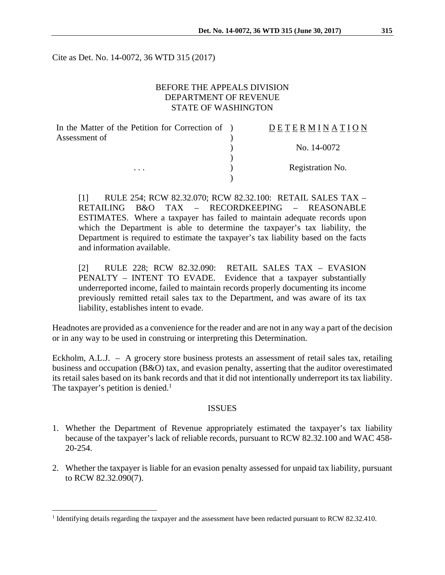Cite as Det. No. 14-0072, 36 WTD 315 (2017)

# BEFORE THE APPEALS DIVISION DEPARTMENT OF REVENUE STATE OF WASHINGTON

| In the Matter of the Petition for Correction of | DETERMINATION    |
|-------------------------------------------------|------------------|
| Assessment of                                   |                  |
|                                                 | No. 14-0072      |
|                                                 |                  |
| $\cdots$                                        | Registration No. |
|                                                 |                  |

[1] RULE 254; RCW 82.32.070; RCW 82.32.100: RETAIL SALES TAX – RETAILING B&O TAX – RECORDKEEPING – REASONABLE ESTIMATES. Where a taxpayer has failed to maintain adequate records upon which the Department is able to determine the taxpayer's tax liability, the Department is required to estimate the taxpayer's tax liability based on the facts and information available.

[2] RULE 228; RCW 82.32.090: RETAIL SALES TAX – EVASION PENALTY – INTENT TO EVADE. Evidence that a taxpayer substantially underreported income, failed to maintain records properly documenting its income previously remitted retail sales tax to the Department, and was aware of its tax liability, establishes intent to evade.

Headnotes are provided as a convenience for the reader and are not in any way a part of the decision or in any way to be used in construing or interpreting this Determination.

Eckholm, A.L.J. – A grocery store business protests an assessment of retail sales tax, retailing business and occupation (B&O) tax, and evasion penalty, asserting that the auditor overestimated its retail sales based on its bank records and that it did not intentionally underreport its tax liability. The taxpayer's petition is denied.<sup>1</sup>

#### ISSUES

- 1. Whether the Department of Revenue appropriately estimated the taxpayer's tax liability because of the taxpayer's lack of reliable records, pursuant to RCW 82.32.100 and WAC 458- 20-254.
- 2. Whether the taxpayer is liable for an evasion penalty assessed for unpaid tax liability, pursuant to RCW 82.32.090(7).

1

<sup>&</sup>lt;sup>1</sup> Identifying details regarding the taxpayer and the assessment have been redacted pursuant to RCW 82.32.410.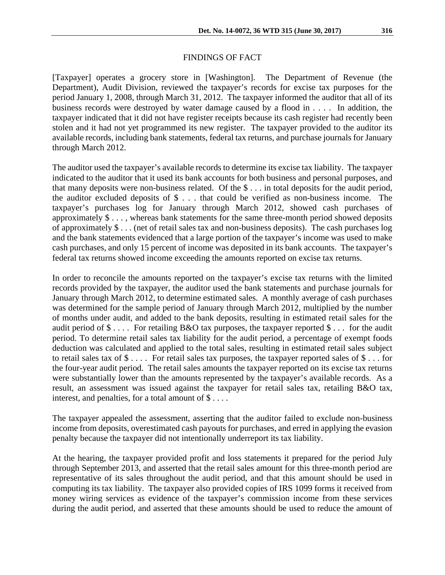### FINDINGS OF FACT

[Taxpayer] operates a grocery store in [Washington]. The Department of Revenue (the Department), Audit Division, reviewed the taxpayer's records for excise tax purposes for the period January 1, 2008, through March 31, 2012. The taxpayer informed the auditor that all of its business records were destroyed by water damage caused by a flood in . . . . In addition, the taxpayer indicated that it did not have register receipts because its cash register had recently been stolen and it had not yet programmed its new register. The taxpayer provided to the auditor its available records, including bank statements, federal tax returns, and purchase journals for January through March 2012.

The auditor used the taxpayer's available records to determine its excise tax liability. The taxpayer indicated to the auditor that it used its bank accounts for both business and personal purposes, and that many deposits were non-business related. Of the \$ . . . in total deposits for the audit period, the auditor excluded deposits of \$ . . . that could be verified as non-business income. The taxpayer's purchases log for January through March 2012, showed cash purchases of approximately \$ . . . , whereas bank statements for the same three-month period showed deposits of approximately \$ . . . (net of retail sales tax and non-business deposits). The cash purchases log and the bank statements evidenced that a large portion of the taxpayer's income was used to make cash purchases, and only 15 percent of income was deposited in its bank accounts. The taxpayer's federal tax returns showed income exceeding the amounts reported on excise tax returns.

In order to reconcile the amounts reported on the taxpayer's excise tax returns with the limited records provided by the taxpayer, the auditor used the bank statements and purchase journals for January through March 2012, to determine estimated sales. A monthly average of cash purchases was determined for the sample period of January through March 2012, multiplied by the number of months under audit, and added to the bank deposits, resulting in estimated retail sales for the audit period of \$ . . . . For retailing B&O tax purposes, the taxpayer reported \$ . . . for the audit period. To determine retail sales tax liability for the audit period, a percentage of exempt foods deduction was calculated and applied to the total sales, resulting in estimated retail sales subject to retail sales tax of \$ . . . . For retail sales tax purposes, the taxpayer reported sales of \$ . . . for the four-year audit period. The retail sales amounts the taxpayer reported on its excise tax returns were substantially lower than the amounts represented by the taxpayer's available records. As a result, an assessment was issued against the taxpayer for retail sales tax, retailing B&O tax, interest, and penalties, for a total amount of  $\$\dots$ .

The taxpayer appealed the assessment, asserting that the auditor failed to exclude non-business income from deposits, overestimated cash payouts for purchases, and erred in applying the evasion penalty because the taxpayer did not intentionally underreport its tax liability.

At the hearing, the taxpayer provided profit and loss statements it prepared for the period July through September 2013, and asserted that the retail sales amount for this three-month period are representative of its sales throughout the audit period, and that this amount should be used in computing its tax liability. The taxpayer also provided copies of IRS 1099 forms it received from money wiring services as evidence of the taxpayer's commission income from these services during the audit period, and asserted that these amounts should be used to reduce the amount of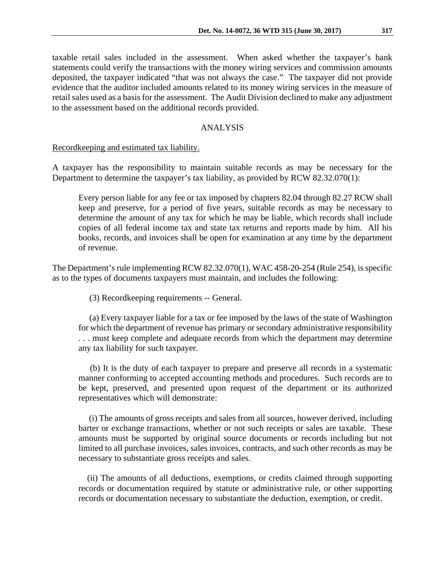taxable retail sales included in the assessment. When asked whether the taxpayer's bank statements could verify the transactions with the money wiring services and commission amounts deposited, the taxpayer indicated "that was not always the case." The taxpayer did not provide evidence that the auditor included amounts related to its money wiring services in the measure of retail sales used as a basis for the assessment. The Audit Division declined to make any adjustment to the assessment based on the additional records provided.

# ANALYSIS

#### Recordkeeping and estimated tax liability.

A taxpayer has the responsibility to maintain suitable records as may be necessary for the Department to determine the taxpayer's tax liability, as provided by RCW 82.32.070(1):

Every person liable for any fee or tax imposed by chapters 82.04 through 82.27 RCW shall keep and preserve, for a period of five years, suitable records as may be necessary to determine the amount of any tax for which he may be liable, which records shall include copies of all federal income tax and state tax returns and reports made by him. All his books, records, and invoices shall be open for examination at any time by the department of revenue.

The Department's rule implementing RCW 82.32.070(1), WAC 458-20-254 (Rule 254), is specific as to the types of documents taxpayers must maintain, and includes the following:

(3) Recordkeeping requirements -- General.

 (a) Every taxpayer liable for a tax or fee imposed by the laws of the state of Washington for which the department of revenue has primary or secondary administrative responsibility . . . must keep complete and adequate records from which the department may determine any tax liability for such taxpayer.

 (b) It is the duty of each taxpayer to prepare and preserve all records in a systematic manner conforming to accepted accounting methods and procedures. Such records are to be kept, preserved, and presented upon request of the department or its authorized representatives which will demonstrate:

 (i) The amounts of gross receipts and sales from all sources, however derived, including barter or exchange transactions, whether or not such receipts or sales are taxable. These amounts must be supported by original source documents or records including but not limited to all purchase invoices, sales invoices, contracts, and such other records as may be necessary to substantiate gross receipts and sales.

 (ii) The amounts of all deductions, exemptions, or credits claimed through supporting records or documentation required by statute or administrative rule, or other supporting records or documentation necessary to substantiate the deduction, exemption, or credit.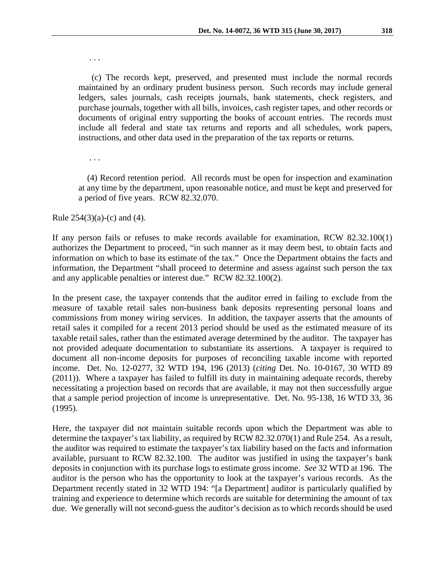. . .

 (c) The records kept, preserved, and presented must include the normal records maintained by an ordinary prudent business person. Such records may include general ledgers, sales journals, cash receipts journals, bank statements, check registers, and purchase journals, together with all bills, invoices, cash register tapes, and other records or documents of original entry supporting the books of account entries. The records must include all federal and state tax returns and reports and all schedules, work papers, instructions, and other data used in the preparation of the tax reports or returns.

. . .

 (4) Record retention period. All records must be open for inspection and examination at any time by the department, upon reasonable notice, and must be kept and preserved for a period of five years. RCW 82.32.070.

Rule  $254(3)(a)-(c)$  and (4).

If any person fails or refuses to make records available for examination, RCW 82.32.100(1) authorizes the Department to proceed, "in such manner as it may deem best, to obtain facts and information on which to base its estimate of the tax." Once the Department obtains the facts and information, the Department "shall proceed to determine and assess against such person the tax and any applicable penalties or interest due." RCW 82.32.100(2).

In the present case, the taxpayer contends that the auditor erred in failing to exclude from the measure of taxable retail sales non-business bank deposits representing personal loans and commissions from money wiring services. In addition, the taxpayer asserts that the amounts of retail sales it compiled for a recent 2013 period should be used as the estimated measure of its taxable retail sales, rather than the estimated average determined by the auditor. The taxpayer has not provided adequate documentation to substantiate its assertions. A taxpayer is required to document all non-income deposits for purposes of reconciling taxable income with reported income. Det. No. 12-0277, 32 WTD 194, 196 (2013) (*citing* Det. No. 10-0167, 30 WTD 89 (2011)). Where a taxpayer has failed to fulfill its duty in maintaining adequate records, thereby necessitating a projection based on records that are available, it may not then successfully argue that a sample period projection of income is unrepresentative. Det. No. 95-138, 16 WTD 33, 36 (1995).

Here, the taxpayer did not maintain suitable records upon which the Department was able to determine the taxpayer's tax liability, as required by RCW 82.32.070(1) and Rule 254. As a result, the auditor was required to estimate the taxpayer's tax liability based on the facts and information available, pursuant to RCW 82.32.100. The auditor was justified in using the taxpayer's bank deposits in conjunction with its purchase logs to estimate gross income. *See* 32 WTD at 196. The auditor is the person who has the opportunity to look at the taxpayer's various records. As the Department recently stated in 32 WTD 194: "[a Department] auditor is particularly qualified by training and experience to determine which records are suitable for determining the amount of tax due. We generally will not second-guess the auditor's decision as to which records should be used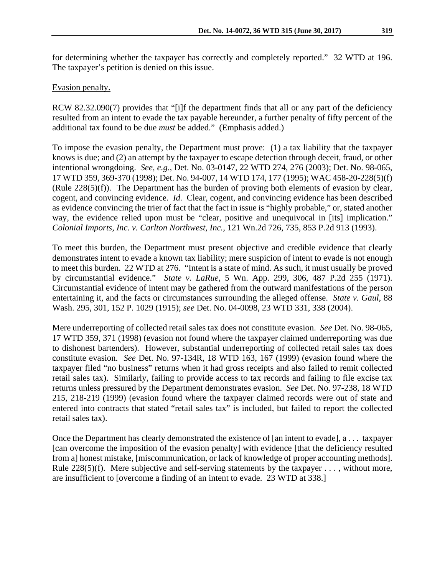for determining whether the taxpayer has correctly and completely reported." 32 WTD at 196. The taxpayer's petition is denied on this issue.

### Evasion penalty.

RCW 82.32.090(7) provides that "[i]f the department finds that all or any part of the deficiency resulted from an intent to evade the tax payable hereunder, a further penalty of fifty percent of the additional tax found to be due *must* be added." (Emphasis added.)

To impose the evasion penalty, the Department must prove: (1) a tax liability that the taxpayer knows is due; and (2) an attempt by the taxpayer to escape detection through deceit, fraud, or other intentional wrongdoing. *See, e.g*., Det. No. 03-0147, 22 WTD 274, 276 (2003); Det. No. 98-065, 17 WTD 359, 369-370 (1998); Det. No. 94-007, 14 WTD 174, 177 (1995); WAC 458-20-228(5)(f) (Rule 228(5)(f)). The Department has the burden of proving both elements of evasion by clear, cogent, and convincing evidence. *Id.* Clear, cogent, and convincing evidence has been described as evidence convincing the trier of fact that the fact in issue is "highly probable," or, stated another way, the evidence relied upon must be "clear, positive and unequivocal in [its] implication." *Colonial Imports, Inc. v. Carlton Northwest, Inc.,* 121 Wn.2d 726, 735, 853 P.2d 913 (1993).

To meet this burden, the Department must present objective and credible evidence that clearly demonstrates intent to evade a known tax liability; mere suspicion of intent to evade is not enough to meet this burden. 22 WTD at 276. "Intent is a state of mind. As such, it must usually be proved by circumstantial evidence." *State v. LaRue*, 5 Wn. App. 299, 306, 487 P.2d 255 (1971). Circumstantial evidence of intent may be gathered from the outward manifestations of the person entertaining it, and the facts or circumstances surrounding the alleged offense. *State v. Gaul*, 88 Wash. 295, 301, 152 P. 1029 (1915); *see* Det. No. 04-0098, 23 WTD 331, 338 (2004).

Mere underreporting of collected retail sales tax does not constitute evasion. *See* Det. No. 98-065, 17 WTD 359, 371 (1998) (evasion not found where the taxpayer claimed underreporting was due to dishonest bartenders). However, substantial underreporting of collected retail sales tax does constitute evasion. *See* Det. No. 97-134R, 18 WTD 163, 167 (1999) (evasion found where the taxpayer filed "no business" returns when it had gross receipts and also failed to remit collected retail sales tax). Similarly, failing to provide access to tax records and failing to file excise tax returns unless pressured by the Department demonstrates evasion. *See* Det. No. 97-238, 18 WTD 215, 218-219 (1999) (evasion found where the taxpayer claimed records were out of state and entered into contracts that stated "retail sales tax" is included, but failed to report the collected retail sales tax).

Once the Department has clearly demonstrated the existence of [an intent to evade], a . . . taxpayer [can overcome the imposition of the evasion penalty] with evidence [that the deficiency resulted from a] honest mistake, [miscommunication, or lack of knowledge of proper accounting methods]. Rule  $228(5)(f)$ . Mere subjective and self-serving statements by the taxpayer . . . , without more, are insufficient to [overcome a finding of an intent to evade. 23 WTD at 338.]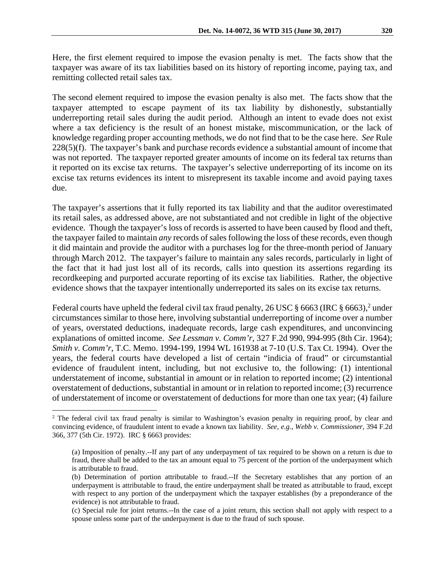Here, the first element required to impose the evasion penalty is met. The facts show that the taxpayer was aware of its tax liabilities based on its history of reporting income, paying tax, and remitting collected retail sales tax.

The second element required to impose the evasion penalty is also met. The facts show that the taxpayer attempted to escape payment of its tax liability by dishonestly, substantially underreporting retail sales during the audit period. Although an intent to evade does not exist where a tax deficiency is the result of an honest mistake, miscommunication, or the lack of knowledge regarding proper accounting methods, we do not find that to be the case here. *See* Rule  $228(5)(f)$ . The taxpayer's bank and purchase records evidence a substantial amount of income that was not reported. The taxpayer reported greater amounts of income on its federal tax returns than it reported on its excise tax returns. The taxpayer's selective underreporting of its income on its excise tax returns evidences its intent to misrepresent its taxable income and avoid paying taxes due.

The taxpayer's assertions that it fully reported its tax liability and that the auditor overestimated its retail sales, as addressed above, are not substantiated and not credible in light of the objective evidence. Though the taxpayer's loss of records is asserted to have been caused by flood and theft, the taxpayer failed to maintain *any* records of sales following the loss of these records, even though it did maintain and provide the auditor with a purchases log for the three-month period of January through March 2012. The taxpayer's failure to maintain any sales records, particularly in light of the fact that it had just lost all of its records, calls into question its assertions regarding its recordkeeping and purported accurate reporting of its excise tax liabilities. Rather, the objective evidence shows that the taxpayer intentionally underreported its sales on its excise tax returns.

Federal courts have upheld the federal civil tax fraud penalty, 26 USC  $\S$  6663 (IRC  $\S$  6663),<sup>2</sup> under circumstances similar to those here, involving substantial underreporting of income over a number of years, overstated deductions, inadequate records, large cash expenditures, and unconvincing explanations of omitted income. *See Lessman v. Comm'r*, 327 F.2d 990, 994-995 (8th Cir. 1964); *Smith v. Comm'r*, T.C. Memo. 1994-199, 1994 WL 161938 at 7-10 (U.S. Tax Ct. 1994). Over the years, the federal courts have developed a list of certain "indicia of fraud" or circumstantial evidence of fraudulent intent, including, but not exclusive to, the following: (1) intentional understatement of income, substantial in amount or in relation to reported income; (2) intentional overstatement of deductions, substantial in amount or in relation to reported income; (3) recurrence of understatement of income or overstatement of deductions for more than one tax year; (4) failure

 $\overline{a}$ 

<sup>&</sup>lt;sup>2</sup> The federal civil tax fraud penalty is similar to Washington's evasion penalty in requiring proof, by clear and convincing evidence, of fraudulent intent to evade a known tax liability. *See, e.g., Webb v. Commissioner*, 394 F.2d 366, 377 (5th Cir. 1972). IRC § 6663 provides:

<sup>(</sup>a) Imposition of penalty.--If any part of any underpayment of tax required to be shown on a return is due to fraud, there shall be added to the tax an amount equal to 75 percent of the portion of the underpayment which is attributable to fraud.

<sup>(</sup>b) Determination of portion attributable to fraud.--If the Secretary establishes that any portion of an underpayment is attributable to fraud, the entire underpayment shall be treated as attributable to fraud, except with respect to any portion of the underpayment which the taxpayer establishes (by a preponderance of the evidence) is not attributable to fraud.

<sup>(</sup>c) Special rule for joint returns.--In the case of a joint return, this section shall not apply with respect to a spouse unless some part of the underpayment is due to the fraud of such spouse.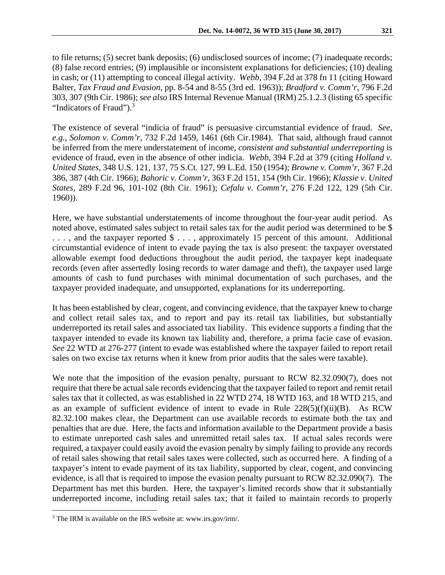to file returns; (5) secret bank deposits; (6) undisclosed sources of income; (7) inadequate records; (8) false record entries; (9) implausible or inconsistent explanations for deficiencies; (10) dealing in cash; or (11) attempting to conceal illegal activity. *Webb*, 394 F.2d at 378 fn 11 (citing Howard Balter, *Tax Fraud and Evasion*, pp. 8-54 and 8-55 (3rd ed. 1963)); *Bradford v. Comm'r*, 796 F.2d 303, 307 (9th Cir. 1986); *see also* IRS Internal Revenue Manual (IRM) 25.1.2.3 (listing 65 specific "Indicators of Fraud").<sup>3</sup>

The existence of several "indicia of fraud" is persuasive circumstantial evidence of fraud. *See, e.g., Solomon v. Comm'r*, 732 F.2d 1459, 1461 (6th Cir.1984). That said, although fraud cannot be inferred from the mere understatement of income, *consistent and substantial underreporting* is evidence of fraud, even in the absence of other indicia. *Webb*, 394 F.2d at 379 (citing *Holland v. United States*, 348 U.S. 121, 137, 75 S.Ct. 127, 99 L.Ed. 150 (1954); *Browne v. Comm'r*, 367 F.2d 386, 387 (4th Cir. 1966); *Bahoric v. Comm'r*, 363 F.2d 151, 154 (9th Cir. 1966); *Klassie v. United States*, 289 F.2d 96, 101-102 (8th Cir. 1961); *Cefalu v. Comm'r*, 276 F.2d 122, 129 (5th Cir. 1960)).

Here, we have substantial understatements of income throughout the four-year audit period. As noted above, estimated sales subject to retail sales tax for the audit period was determined to be \$ ..., and the taxpayer reported  $\$ \dots$ , approximately 15 percent of this amount. Additional circumstantial evidence of intent to evade paying the tax is also present: the taxpayer overstated allowable exempt food deductions throughout the audit period, the taxpayer kept inadequate records (even after assertedly losing records to water damage and theft), the taxpayer used large amounts of cash to fund purchases with minimal documentation of such purchases, and the taxpayer provided inadequate, and unsupported, explanations for its underreporting.

It has been established by clear, cogent, and convincing evidence, that the taxpayer knew to charge and collect retail sales tax, and to report and pay its retail tax liabilities, but substantially underreported its retail sales and associated tax liability. This evidence supports a finding that the taxpayer intended to evade its known tax liability and, therefore, a prima facie case of evasion. *See* 22 WTD at 276-277 (intent to evade was established where the taxpayer failed to report retail sales on two excise tax returns when it knew from prior audits that the sales were taxable).

We note that the imposition of the evasion penalty, pursuant to RCW 82.32.090(7), does not require that there be actual sale records evidencing that the taxpayer failed to report and remit retail sales tax that it collected, as was established in 22 WTD 274, 18 WTD 163, and 18 WTD 215, and as an example of sufficient evidence of intent to evade in Rule  $228(5)(f)(ii)(B)$ . As RCW 82.32.100 makes clear, the Department can use available records to estimate both the tax and penalties that are due. Here, the facts and information available to the Department provide a basis to estimate unreported cash sales and unremitted retail sales tax. If actual sales records were required, a taxpayer could easily avoid the evasion penalty by simply failing to provide any records of retail sales showing that retail sales taxes were collected, such as occurred here. A finding of a taxpayer's intent to evade payment of its tax liability, supported by clear, cogent, and convincing evidence, is all that is required to impose the evasion penalty pursuant to RCW 82.32.090(7). The Department has met this burden. Here, the taxpayer's limited records show that it substantially underreported income, including retail sales tax; that it failed to maintain records to properly

 $\overline{a}$ 

<sup>&</sup>lt;sup>3</sup> The IRM is available on the IRS website at: www.irs.gov/irm/.